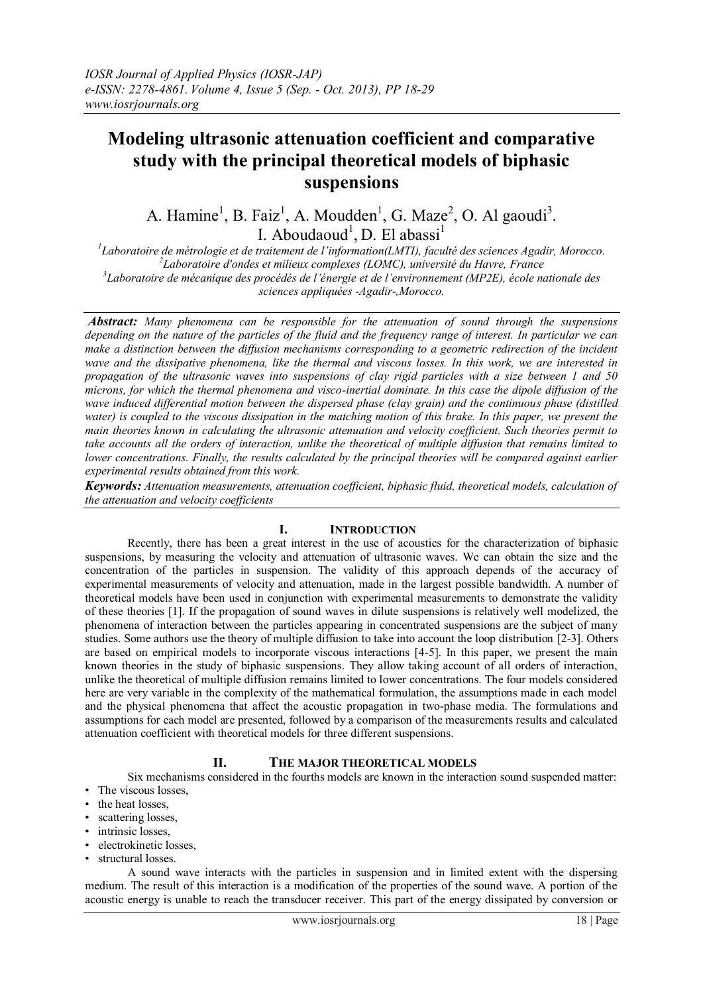# **Modeling ultrasonic attenuation coefficient and comparative study with the principal theoretical models of biphasic suspensions**

A. Hamine<sup>1</sup>, B. Faiz<sup>1</sup>, A. Moudden<sup>1</sup>, G. Maze<sup>2</sup>, O. Al gaoudi<sup>3</sup>. I. Aboudaoud<sup>1</sup>, D. El abassi<sup>1</sup>

 *Laboratoire de métrologie et de traitement de l'information(LMTI), faculté des sciences Agadir, Morocco. Laboratoire d'ondes et milieux complexes (LOMC), université du Havre, France Laboratoire de mécanique des procédés de l'énergie et de l'environnement (MP2E), école nationale des sciences appliquées -Agadir-,Morocco.*

*Abstract: Many phenomena can be responsible for the attenuation of sound through the suspensions depending on the nature of the particles of the fluid and the frequency range of interest. In particular we can make a distinction between the diffusion mechanisms corresponding to a geometric redirection of the incident wave and the dissipative phenomena, like the thermal and viscous losses. In this work, we are interested in propagation of the ultrasonic waves into suspensions of clay rigid particles with a size between 1 and 50 microns, for which the thermal phenomena and visco-inertial dominate. In this case the dipole diffusion of the wave induced differential motion between the dispersed phase (clay grain) and the continuous phase (distilled water)* is coupled to the viscous dissipation in the matching motion of this brake. In this paper, we present the *main theories known in calculating the ultrasonic attenuation and velocity coefficient. Such theories permit to take accounts all the orders of interaction, unlike the theoretical of multiple diffusion that remains limited to lower concentrations. Finally, the results calculated by the principal theories will be compared against earlier experimental results obtained from this work.*

*Keywords: Attenuation measurements, attenuation coefficient, biphasic fluid, theoretical models, calculation of the attenuation and velocity coefficients*

## **I. INTRODUCTION**

Recently, there has been a great interest in the use of acoustics for the characterization of biphasic suspensions, by measuring the velocity and attenuation of ultrasonic waves. We can obtain the size and the concentration of the particles in suspension. The validity of this approach depends of the accuracy of experimental measurements of velocity and attenuation, made in the largest possible bandwidth. A number of theoretical models have been used in conjunction with experimental measurements to demonstrate the validity of these theories [1]. If the propagation of sound waves in dilute suspensions is relatively well modelized, the phenomena of interaction between the particles appearing in concentrated suspensions are the subject of many studies. Some authors use the theory of multiple diffusion to take into account the loop distribution [2-3]. Others are based on empirical models to incorporate viscous interactions [4-5]. In this paper, we present the main known theories in the study of biphasic suspensions. They allow taking account of all orders of interaction, unlike the theoretical of multiple diffusion remains limited to lower concentrations. The four models considered here are very variable in the complexity of the mathematical formulation, the assumptions made in each model and the physical phenomena that affect the acoustic propagation in two-phase media. The formulations and assumptions for each model are presented, followed by a comparison of the measurements results and calculated attenuation coefficient with theoretical models for three different suspensions.

### **II. THE MAJOR THEORETICAL MODELS**

Six mechanisms considered in the fourths models are known in the interaction sound suspended matter:

- The viscous losses,
- the heat losses,
- scattering losses,
- intrinsic losses,
- electrokinetic losses,
- structural losses.

A sound wave interacts with the particles in suspension and in limited extent with the dispersing medium. The result of this interaction is a modification of the properties of the sound wave. A portion of the acoustic energy is unable to reach the transducer receiver. This part of the energy dissipated by conversion or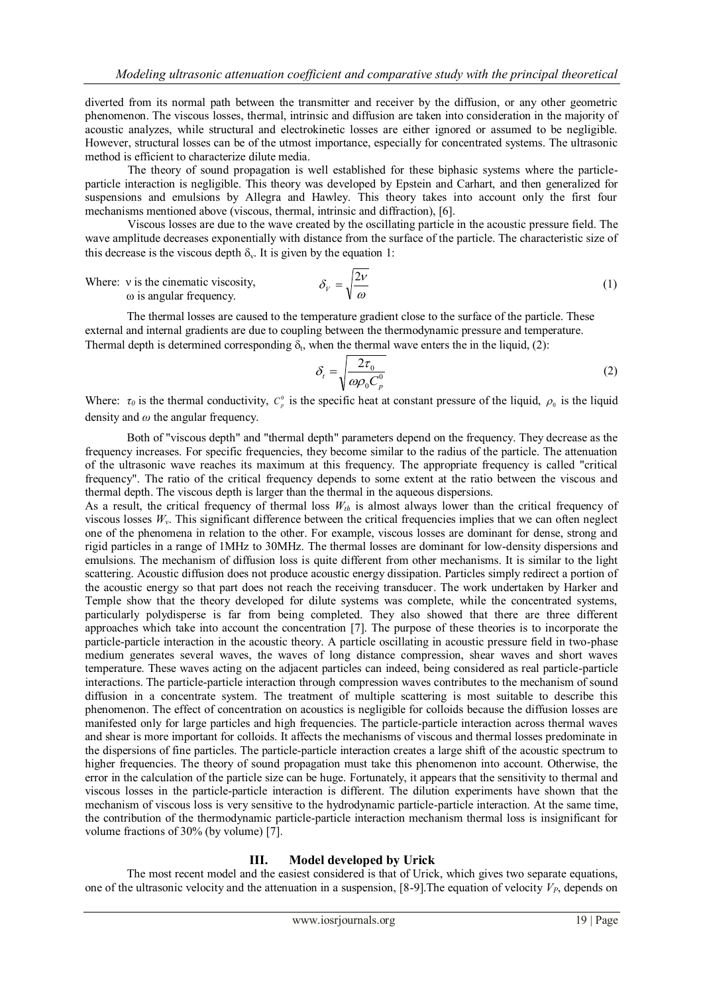diverted from its normal path between the transmitter and receiver by the diffusion, or any other geometric phenomenon. The viscous losses, thermal, intrinsic and diffusion are taken into consideration in the majority of acoustic analyzes, while structural and electrokinetic losses are either ignored or assumed to be negligible. However, structural losses can be of the utmost importance, especially for concentrated systems. The ultrasonic method is efficient to characterize dilute media.

The theory of sound propagation is well established for these biphasic systems where the particleparticle interaction is negligible. This theory was developed by Epstein and Carhart, and then generalized for suspensions and emulsions by Allegra and Hawley. This theory takes into account only the first four mechanisms mentioned above (viscous, thermal, intrinsic and diffraction), [6].

Viscous losses are due to the wave created by the oscillating particle in the acoustic pressure field. The wave amplitude decreases exponentially with distance from the surface of the particle. The characteristic size of this decrease is the viscous depth  $\delta_{v}$ . It is given by the equation 1:

Where: v is the cinematic viscosity,  
\n
$$
\delta_V = \sqrt{\frac{2V}{\omega}}
$$
\n(1)

The thermal losses are caused to the temperature gradient close to the surface of the particle. These external and internal gradients are due to coupling between the thermodynamic pressure and temperature. Thermal depth is determined corresponding  $\delta_t$ , when the thermal wave enters the in the liquid, (2):

$$
\delta_t = \sqrt{\frac{2\tau_0}{\omega \rho_0 C_p^0}}
$$
\n(2)

Where:  $\tau_0$  is the thermal conductivity,  $C_p^0$  is the specific heat at constant pressure of the liquid,  $\rho_0$  is the liquid density and *ω* the angular frequency.

Both of "viscous depth" and "thermal depth" parameters depend on the frequency. They decrease as the frequency increases. For specific frequencies, they become similar to the radius of the particle. The attenuation of the ultrasonic wave reaches its maximum at this frequency. The appropriate frequency is called "critical frequency". The ratio of the critical frequency depends to some extent at the ratio between the viscous and thermal depth. The viscous depth is larger than the thermal in the aqueous dispersions.

As a result, the critical frequency of thermal loss *Wth* is almost always lower than the critical frequency of viscous losses  $W<sub>v</sub>$ . This significant difference between the critical frequencies implies that we can often neglect one of the phenomena in relation to the other. For example, viscous losses are dominant for dense, strong and rigid particles in a range of 1MHz to 30MHz. The thermal losses are dominant for low-density dispersions and emulsions. The mechanism of diffusion loss is quite different from other mechanisms. It is similar to the light scattering. Acoustic diffusion does not produce acoustic energy dissipation. Particles simply redirect a portion of the acoustic energy so that part does not reach the receiving transducer. The work undertaken by Harker and Temple show that the theory developed for dilute systems was complete, while the concentrated systems, particularly polydisperse is far from being completed. They also showed that there are three different approaches which take into account the concentration [7]. The purpose of these theories is to incorporate the particle-particle interaction in the acoustic theory. A particle oscillating in acoustic pressure field in two-phase medium generates several waves, the waves of long distance compression, shear waves and short waves temperature. These waves acting on the adjacent particles can indeed, being considered as real particle-particle interactions. The particle-particle interaction through compression waves contributes to the mechanism of sound diffusion in a concentrate system. The treatment of multiple scattering is most suitable to describe this phenomenon. The effect of concentration on acoustics is negligible for colloids because the diffusion losses are manifested only for large particles and high frequencies. The particle-particle interaction across thermal waves and shear is more important for colloids. It affects the mechanisms of viscous and thermal losses predominate in the dispersions of fine particles. The particle-particle interaction creates a large shift of the acoustic spectrum to higher frequencies. The theory of sound propagation must take this phenomenon into account. Otherwise, the error in the calculation of the particle size can be huge. Fortunately, it appears that the sensitivity to thermal and viscous losses in the particle-particle interaction is different. The dilution experiments have shown that the mechanism of viscous loss is very sensitive to the hydrodynamic particle-particle interaction. At the same time, the contribution of the thermodynamic particle-particle interaction mechanism thermal loss is insignificant for volume fractions of 30% (by volume) [7].

## **III. Model developed by Urick**

The most recent model and the easiest considered is that of Urick, which gives two separate equations, one of the ultrasonic velocity and the attenuation in a suspension,  $[8-9]$ . The equation of velocity  $V_P$ , depends on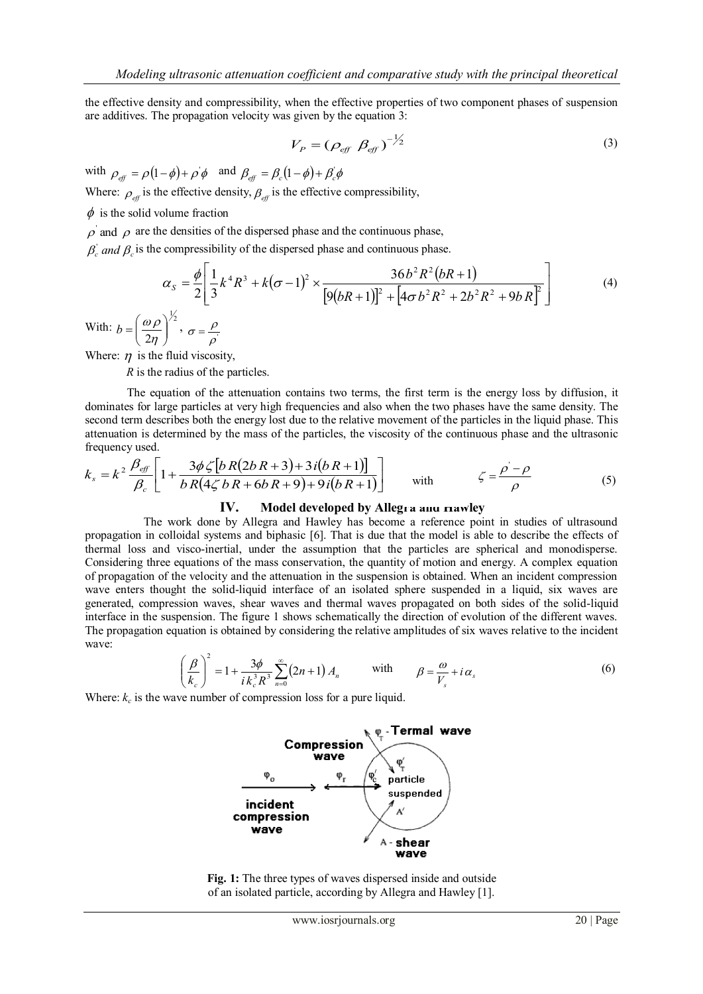the effective density and compressibility, when the effective properties of two component phases of suspension are additives. The propagation velocity was given by the equation 3:

$$
V_P = \left(\rho_{\text{eff}} \ \beta_{\text{eff}}\right)^{-1/2} \tag{3}
$$

with  $\rho_{\text{eff}} = \rho(1-\phi) + \rho \phi$  and  $\beta_{\text{eff}} = \beta_c(1-\phi) + \beta_c \phi$ 

Where:  $\rho_{\text{eff}}$  is the effective density,  $\beta_{\text{eff}}$  is the effective compressibility,

 $\phi$  is the solid volume fraction

 $\rho$  and  $\rho$  are the densities of the dispersed phase and the continuous phase,

 $\beta_c$  *and*  $\beta_c$  is the compressibility of the dispersed phase and continuous phase.

$$
\alpha_{s} = \frac{\phi}{2} \left[ \frac{1}{3} k^{4} R^{3} + k(\sigma - 1)^{2} \times \frac{36 b^{2} R^{2} (bR + 1)}{[9(bR + 1)]^{2} + [4\sigma b^{2} R^{2} + 2b^{2} R^{2} + 9b R]^{2}} \right]
$$
(4)

With:  $b = \left(\frac{\omega \rho}{\rho}\right)^{\frac{1}{2}}$  $\frac{\partial P}{2\eta}$ Ι λ  $\overline{\phantom{a}}$  $\backslash$  $=$  $\left($ ņη  $b = \left(\frac{\omega \rho}{2\eta}\right)^{1/2}, \sigma = \frac{\rho}{\rho}$  $\sigma = \frac{\rho}{\sqrt{2}}$ 

Where:  $\eta$  is the fluid viscosity,

*R* is the radius of the particles.

The equation of the attenuation contains two terms, the first term is the energy loss by diffusion, it dominates for large particles at very high frequencies and also when the two phases have the same density. The second term describes both the energy lost due to the relative movement of the particles in the liquid phase. This attenuation is determined by the mass of the particles, the viscosity of the continuous phase and the ultrasonic frequency used.

$$
k_{s} = k^{2} \frac{\beta_{\text{eff}}}{\beta_{c}} \left[ 1 + \frac{3\phi\zeta \left[ bR(2bR+3) + 3i(bR+1) \right]}{bR(4\zeta bR + 6bR + 9) + 9i(bR + 1)} \right] \qquad \text{with} \qquad \zeta = \frac{\rho - \rho}{\rho} \tag{5}
$$

#### **IV.** Model developed by Allegra and **Hawley**

The work done by Allegra and Hawley has become a reference point in studies of ultrasound propagation in colloidal systems and biphasic [6]. That is due that the model is able to describe the effects of thermal loss and visco-inertial, under the assumption that the particles are spherical and monodisperse. Considering three equations of the mass conservation, the quantity of motion and energy. A complex equation of propagation of the velocity and the attenuation in the suspension is obtained. When an incident compression wave enters thought the solid-liquid interface of an isolated sphere suspended in a liquid, six waves are generated, compression waves, shear waves and thermal waves propagated on both sides of the solid-liquid interface in the suspension. The figure 1 shows schematically the direction of evolution of the different waves. The propagation equation is obtained by considering the relative amplitudes of six waves relative to the incident wave:

$$
\left(\frac{\beta}{k_c}\right)^2 = 1 + \frac{3\phi}{ik_c^3 R^3} \sum_{n=0}^{\infty} (2n+1) A_n \quad \text{with} \quad \beta = \frac{\omega}{V_s} + i\alpha_s \tag{6}
$$

Where:  $k_c$  is the wave number of compression loss for a pure liquid.



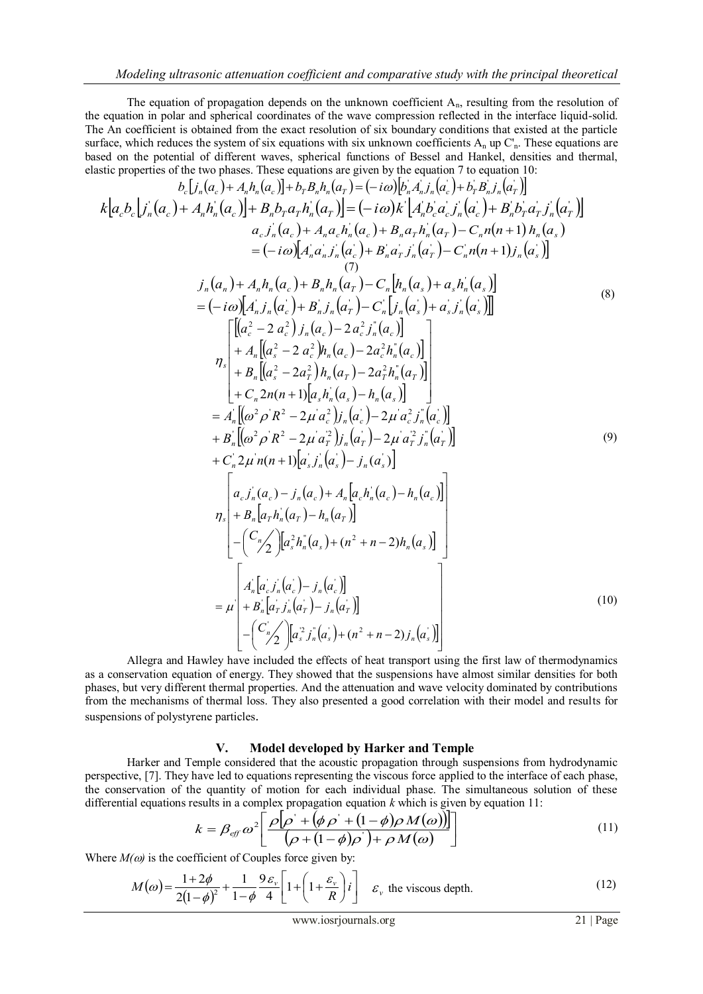The equation of propagation depends on the unknown coefficient  $A<sub>n</sub>$ , resulting from the resolution of the equation in polar and spherical coordinates of the wave compression reflected in the interface liquid-solid. The An coefficient is obtained from the exact resolution of six boundary conditions that existed at the particle surface, which reduces the system of six equations with six unknown coefficients  $A_n$  up  $C'_n$ . These equations are based on the potential of different waves, spherical functions of Bessel and Hankel, densities and thermal, elastic properties of the two phases. These equations are given by the equation 7 to equation 10:

$$
b_c[j_n(a_c)+A_n h_n(a_c)]+b_T B_n h_n(a_T) = (-i\omega)[b_n A_n j_n(a_c)+b_T B_n j_n(a_T)]
$$
\n
$$
k[a_c b_c[j_n(a_c)+A_n h_n'(a_c)]+B_n b_T a_T h_n'(a_T)] = (-i\omega)k'[A_n b_c a_c j_n'(a_c)+B_n b_T a_T j_n'(a_T)]
$$
\n
$$
a_c j_n(a_c)+A_n a_c h_n(a_c)+B_n a_T h_n'(a_T)-C_n n(n+1) h_n(a_s)
$$
\n
$$
= (-i\omega)[A_n a_n j_n'(a_c)+B_n a_T j_n'(a_T)-C_n n(n+1) j_n(a_s)]
$$
\n
$$
j_n(a_n)+A_n h_n(a_c)+B_n h_n(a_T)-C_n [h_n(a_s)+a_s h_n(a_s)]
$$
\n
$$
= (-i\omega)[A_n j_n(a_c)+B_n j_n(a_T)-C_n [j_n(a_s)+a_s j_n'(a_s)]]
$$
\n
$$
\begin{bmatrix} [(a_c^2-2 a_c^2) j_n(a_c)-2 a_c^2 j_n^*(a_c)] \\ +A_n [(a_c^2-2 a_c^2) h_n(a_c)-2 a_c^2 h_n(a_c)] \\ +B_n [(a_s^2-2 a_T^2) h_n(a_c)-2 a_T^2 h_n'(a_T)] \end{bmatrix}
$$
\n
$$
= A_n [(\omega^2 \rho^2 R^2 - 2 \mu^2 a_c^2) j_n'(a_c)-2 \mu^2 a_c^2 j_n''(a_r)]
$$
\n
$$
+ B_n [(\omega^2 \rho^2 R^2 - 2 \mu^2 a_c^2) j_n'(a_c)-2 \mu^2 a_c^2 j_n''(a_r)]
$$
\n
$$
+ C_n 2 \mu^2 n(n+1) [a_s j_n'(a_s)-j_n(a_s)]
$$
\n
$$
+ C_n 2 \mu^2 n(n+1) [a_s j_n'(a_s)-j_n(a_s)]
$$
\n
$$
n_s + B_n [a_T h_n'(a_T)-h_n(a_T)]
$$
\n
$$
n_s + B_n [a_T h_n'(a_T)-h_n(a_T)]
$$
\n
$$
= \mu^2 \begin{bmatrix} a_c[j_n(j_n' a_c)-j_n(a_c)] \\ (a_c j_n'(a_c)-j_n(a_r)] \\ +B_n [a_T j_n'(a_r)-j_n(a_r)] \end{bmatrix}
$$
\n
$$
= \mu^2
$$

Allegra and Hawley have included the effects of heat transport using the first law of thermodynamics as a conservation equation of energy. They showed that the suspensions have almost similar densities for both phases, but very different thermal properties. And the attenuation and wave velocity dominated by contributions from the mechanisms of thermal loss. They also presented a good correlation with their model and results for suspensions of polystyrene particles.

#### **V. Model developed by Harker and Temple**

Harker and Temple considered that the acoustic propagation through suspensions from hydrodynamic perspective, [7]. They have led to equations representing the viscous force applied to the interface of each phase, the conservation of the quantity of motion for each individual phase. The simultaneous solution of these differential equations results in a complex propagation equation *k* which is given by equation 11:

$$
k = \beta_{\text{eff}} \omega^2 \left[ \frac{\rho [\rho + (\phi \rho + (1 - \phi) \rho M(\omega)]}{(\rho + (1 - \phi) \rho') + \rho M(\omega)} \right]
$$
(11)

Where  $M(\omega)$  is the coefficient of Couples force given by:

$$
M(\omega) = \frac{1+2\phi}{2(1-\phi)^2} + \frac{1}{1-\phi} \frac{9\,\varepsilon_{\nu}}{4} \left[ 1 + \left( 1 + \frac{\varepsilon_{\nu}}{R} \right) i \right] \quad \varepsilon_{\nu} \text{ the viscous depth.}
$$
 (12)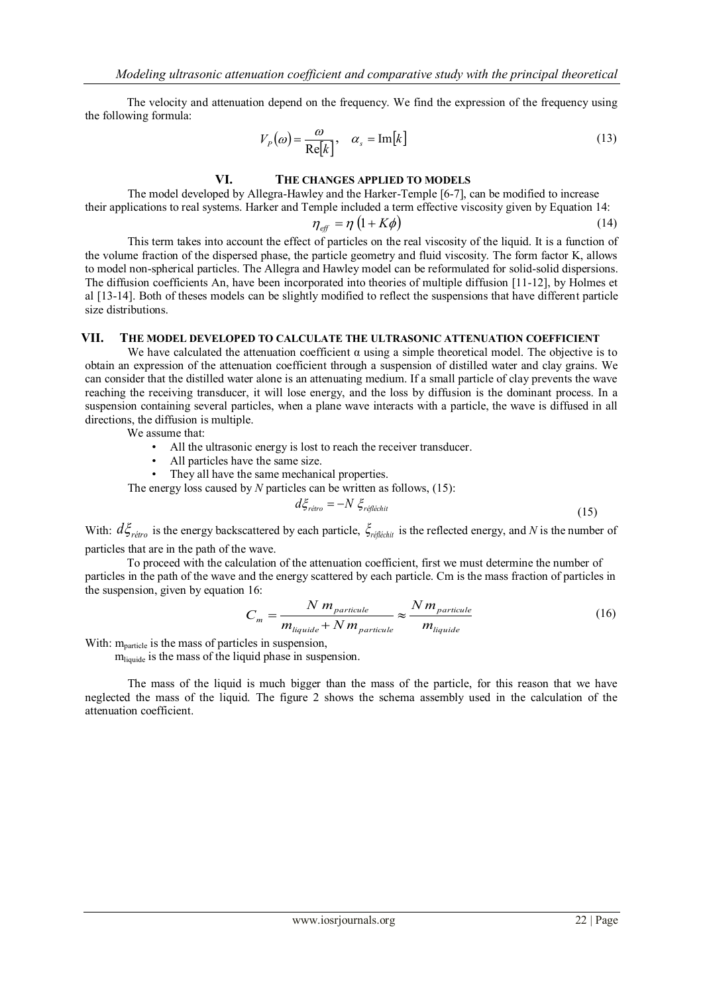The velocity and attenuation depend on the frequency. We find the expression of the frequency using the following formula:

$$
V_P(\omega) = \frac{\omega}{\text{Re}[k]}, \quad \alpha_s = \text{Im}[k] \tag{13}
$$

#### **VI. THE CHANGES APPLIED TO MODELS**

The model developed by Allegra-Hawley and the Harker-Temple [6-7], can be modified to increase their applications to real systems. Harker and Temple included a term effective viscosity given by Equation 14:

$$
\eta_{\text{eff}} = \eta \left( 1 + K \phi \right) \tag{14}
$$

This term takes into account the effect of particles on the real viscosity of the liquid. It is a function of the volume fraction of the dispersed phase, the particle geometry and fluid viscosity. The form factor K, allows to model non-spherical particles. The Allegra and Hawley model can be reformulated for solid-solid dispersions. The diffusion coefficients An, have been incorporated into theories of multiple diffusion [11-12], by Holmes et al [13-14]. Both of theses models can be slightly modified to reflect the suspensions that have different particle size distributions.

#### **VII. THE MODEL DEVELOPED TO CALCULATE THE ULTRASONIC ATTENUATION COEFFICIENT**

We have calculated the attenuation coefficient  $\alpha$  using a simple theoretical model. The objective is to obtain an expression of the attenuation coefficient through a suspension of distilled water and clay grains. We can consider that the distilled water alone is an attenuating medium. If a small particle of clay prevents the wave reaching the receiving transducer, it will lose energy, and the loss by diffusion is the dominant process. In a suspension containing several particles, when a plane wave interacts with a particle, the wave is diffused in all directions, the diffusion is multiple.

We assume that:

- All the ultrasonic energy is lost to reach the receiver transducer.
- All particles have the same size.
- They all have the same mechanical properties.

The energy loss caused by *N* particles can be written as follows, (15):

$$
d\xi_{\text{rétro}} = -N \xi_{\text{réfléchit}}
$$
\n(15)

With:  $d\zeta_{r\text{eirro}}$  is the energy backscattered by each particle,  $\zeta_{\text{refl\'echit}}$  is the reflected energy, and *N* is the number of particles that are in the path of the wave.

To proceed with the calculation of the attenuation coefficient, first we must determine the number of particles in the path of the wave and the energy scattered by each particle. Cm is the mass fraction of particles in the suspension, given by equation 16:

$$
C_m = \frac{N \, m_{particle}}{m_{liquid} + N \, m_{particle}} \approx \frac{N \, m_{particle}}{m_{liquid}}
$$
(16)

With: m<sub>particle</sub> is the mass of particles in suspension,

m<sub>liquide</sub> is the mass of the liquid phase in suspension.

The mass of the liquid is much bigger than the mass of the particle, for this reason that we have neglected the mass of the liquid. The figure 2 shows the schema assembly used in the calculation of the attenuation coefficient.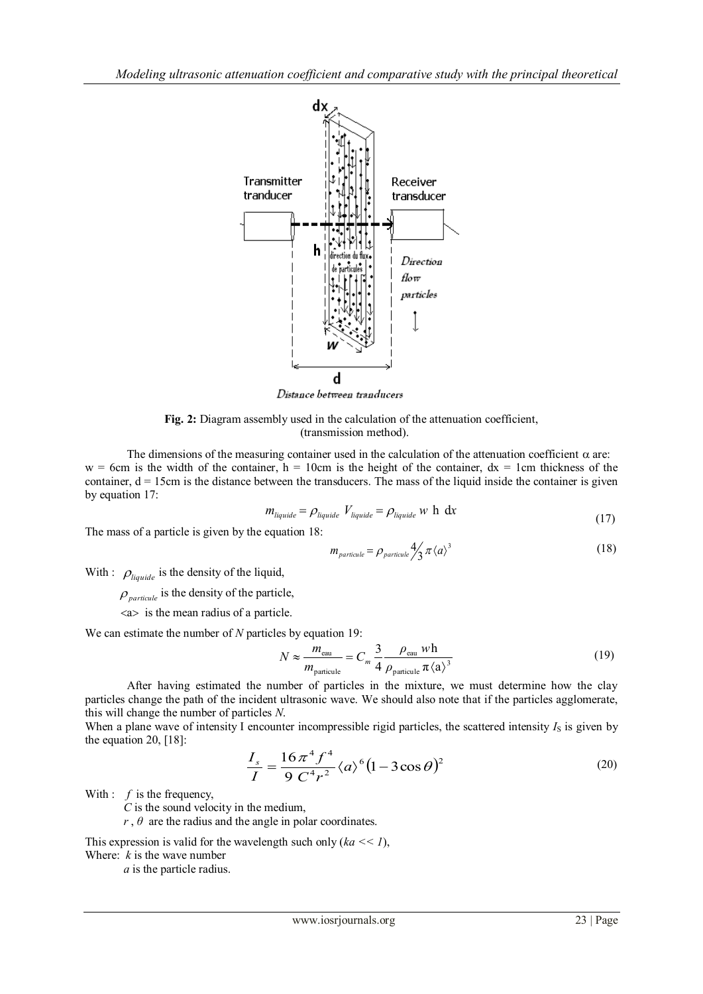

Distance between tranducers

**Fig. 2:** Diagram assembly used in the calculation of the attenuation coefficient, (transmission method).

The dimensions of the measuring container used in the calculation of the attenuation coefficient  $\alpha$  are:  $w = 6$ cm is the width of the container, h = 10cm is the height of the container,  $dx = 1$ cm thickness of the container,  $d = 15$ cm is the distance between the transducers. The mass of the liquid inside the container is given by equation 17:

$$
m_{liquid} = \rho_{liquid} \ V_{liquid} = \rho_{liquid} \ w \ h \ dx
$$
 (17)

The mass of a particle is given by the equation 18:

$$
m_{\text{particle}} = \rho_{\text{particle}} \frac{4}{3} \pi \langle a \rangle^3 \tag{18}
$$

With :  $\rho_{\text{liquid}}$  is the density of the liquid,

 $\rho_{\textit{particle}}$  is the density of the particle,

 $\langle a \rangle$  is the mean radius of a particle.

We can estimate the number of *N* particles by equation 19:

$$
N \approx \frac{m_{\text{eau}}}{m_{\text{particle}}} = C_m \frac{3}{4} \frac{\rho_{\text{eau}} \, w \, \text{h}}{\rho_{\text{particle}} \, \pi \, \langle \text{a} \rangle^3}
$$
(19)

After having estimated the number of particles in the mixture, we must determine how the clay particles change the path of the incident ultrasonic wave. We should also note that if the particles agglomerate, this will change the number of particles *N*.

When a plane wave of intensity I encounter incompressible rigid particles, the scattered intensity  $I<sub>S</sub>$  is given by the equation 20, [18]:

$$
\frac{I_s}{I} = \frac{16\pi^4 f^4}{9 C^4 r^2} \langle a \rangle^6 (1 - 3\cos\theta)^2 \tag{20}
$$

With :  $f$  is the frequency,

*C* is the sound velocity in the medium,

 $r \cdot \theta$  are the radius and the angle in polar coordinates.

This expression is valid for the wavelength such only  $(ka \leq 1)$ , Where: *k* is the wave number

*a* is the particle radius.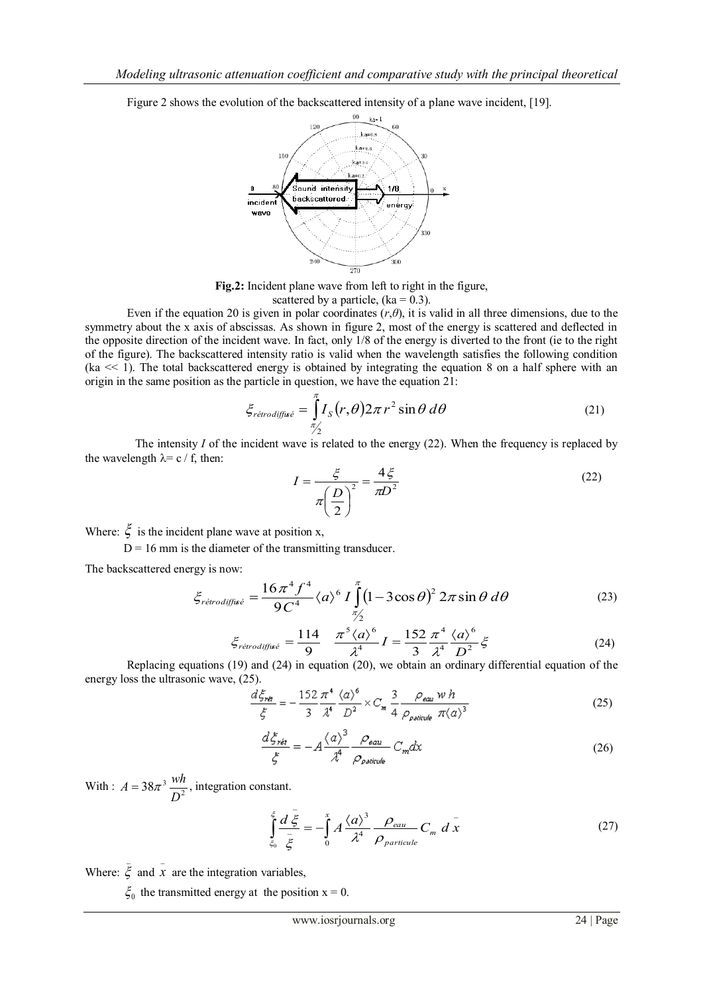Figure 2 shows the evolution of the backscattered intensity of a plane wave incident, [19].



**Fig.2:** Incident plane wave from left to right in the figure, scattered by a particle,  $(ka = 0.3)$ .

Even if the equation 20 is given in polar coordinates  $(r, \theta)$ , it is valid in all three dimensions, due to the symmetry about the x axis of abscissas. As shown in figure 2, most of the energy is scattered and deflected in the opposite direction of the incident wave. In fact, only 1/8 of the energy is diverted to the front (ie to the right of the figure). The backscattered intensity ratio is valid when the wavelength satisfies the following condition (ka << 1). The total backscattered energy is obtained by integrating the equation 8 on a half sphere with an origin in the same position as the particle in question, we have the equation 21:

$$
\xi_{r\acute{e}trodiffis\acute{e}} = \int_{\pi/2}^{\pi} I_S(r,\theta) 2\pi r^2 \sin\theta \, d\theta \tag{21}
$$

The intensity *I* of the incident wave is related to the energy (22). When the frequency is replaced by the wavelength  $\lambda = c / f$ , then:

$$
I = \frac{\xi}{\pi \left(\frac{D}{2}\right)^2} = \frac{4\xi}{\pi D^2}
$$
\n(22)

Where:  $\xi$  is the incident plane wave at position x,

 $D = 16$  mm is the diameter of the transmitting transducer.

The backscattered energy is now:

$$
\xi_{r\acute{e}trodiff\acute{e}t}\n= \frac{16\pi^4 f^4}{9C^4} \langle a \rangle^6 I \int_{\pi/2}^{\pi} (1 - 3\cos\theta)^2 2\pi \sin\theta \,d\theta \tag{23}
$$

$$
\xi_{r\acute{e}trodif\acute{b}t\acute{e}} = \frac{114}{9} \quad \frac{\pi^5 \langle a \rangle^6}{\lambda^4} I = \frac{152}{3} \frac{\pi^4}{\lambda^4} \frac{\langle a \rangle^6}{D^2} \xi \tag{24}
$$

Replacing equations (19) and (24) in equation (20), we obtain an ordinary differential equation of the energy loss the ultrasonic wave, (25).

$$
\frac{d\zeta_{\text{ref}}}{\zeta} = -\frac{152}{3} \frac{\pi^4}{\lambda^4} \frac{\langle a \rangle^6}{D^2} \times C_m \frac{3}{4} \frac{\rho_{\text{equ}} w h}{\rho_{\text{positive}}} \pi \langle a \rangle^3 \tag{25}
$$

$$
\frac{d\zeta_{\text{ref}}}{\zeta} = -A \frac{\langle a \rangle^3}{\lambda^4} \frac{\rho_{\text{eau}}}{\rho_{\text{positive}}} C_m dx \tag{26}
$$

With :  $A = 38\pi^3 \frac{mn}{D^2}$  $38\pi^3$ *D*  $A = 38\pi^3 \frac{wh}{\sqrt{2}}$ , integration constant.

$$
\int_{\xi_0}^{\xi} \frac{d\bar{\zeta}}{\bar{\zeta}} = -\int_0^x A \frac{\langle a \rangle^3}{\lambda^4} \frac{\rho_{eau}}{\rho_{particle}} C_m d\bar{x}
$$
\n(27)

Where:  $\mathcal{L}(\mathcal{L})$  $\xi$  and  $\overline{x}$  are the integration variables,

 $\xi_0$  the transmitted energy at the position x = 0.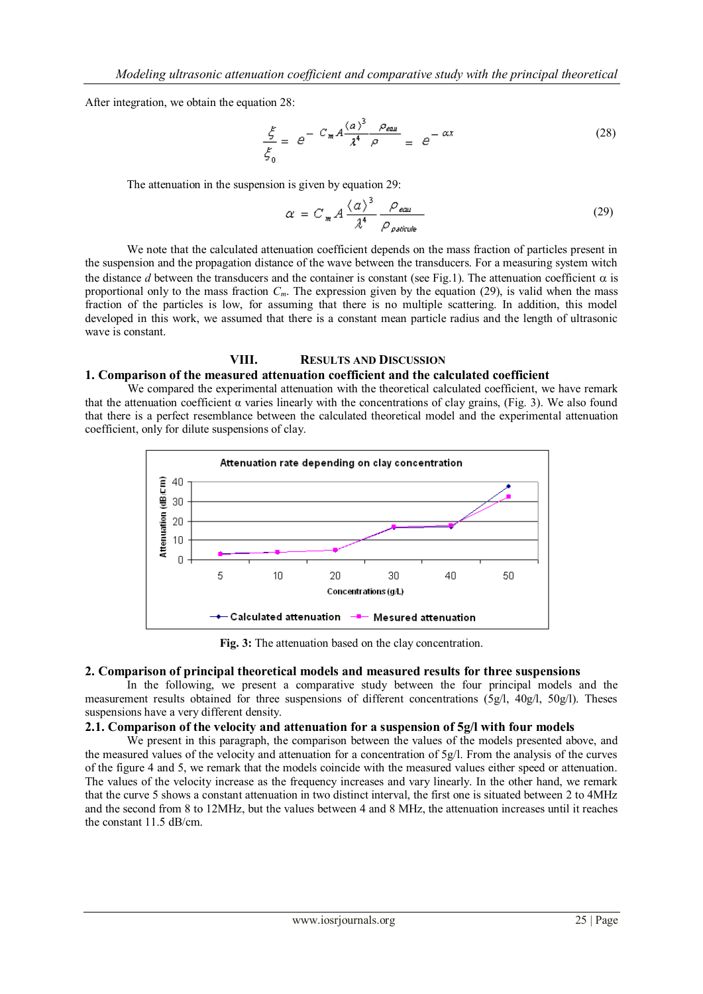After integration, we obtain the equation 28:

$$
\frac{\xi}{\xi_0} = e^{-C_m A \frac{\langle a \rangle^3}{\lambda^4} \frac{\rho_{\text{eens}}}{\rho}} = e^{-\alpha x}
$$
\n(28)

The attenuation in the suspension is given by equation 29:

$$
\alpha = C_{m} A \frac{\langle a \rangle^{3}}{\lambda^{4}} \frac{\rho_{e\alpha\mu}}{\rho_{\rho \text{s})\text{cyclic}}}
$$
(29)

We note that the calculated attenuation coefficient depends on the mass fraction of particles present in the suspension and the propagation distance of the wave between the transducers. For a measuring system witch the distance *d* between the transducers and the container is constant (see Fig.1). The attenuation coefficient  $\alpha$  is proportional only to the mass fraction  $C_m$ . The expression given by the equation (29), is valid when the mass fraction of the particles is low, for assuming that there is no multiple scattering. In addition, this model developed in this work, we assumed that there is a constant mean particle radius and the length of ultrasonic wave is constant.

#### **VIII. RESULTS AND DISCUSSION 1. Comparison of the measured attenuation coefficient and the calculated coefficient**

We compared the experimental attenuation with the theoretical calculated coefficient, we have remark that the attenuation coefficient α varies linearly with the concentrations of clay grains, (Fig. 3). We also found that there is a perfect resemblance between the calculated theoretical model and the experimental attenuation coefficient, only for dilute suspensions of clay.



**Fig. 3:** The attenuation based on the clay concentration.

## **2. Comparison of principal theoretical models and measured results for three suspensions**

In the following, we present a comparative study between the four principal models and the measurement results obtained for three suspensions of different concentrations (5g/l, 40g/l, 50g/l). Theses suspensions have a very different density.

#### **2.1. Comparison of the velocity and attenuation for a suspension of 5g/l with four models**

We present in this paragraph, the comparison between the values of the models presented above, and the measured values of the velocity and attenuation for a concentration of 5g/l. From the analysis of the curves of the figure 4 and 5, we remark that the models coincide with the measured values either speed or attenuation. The values of the velocity increase as the frequency increases and vary linearly. In the other hand, we remark that the curve 5 shows a constant attenuation in two distinct interval, the first one is situated between 2 to 4MHz and the second from 8 to 12MHz, but the values between 4 and 8 MHz, the attenuation increases until it reaches the constant  $11.5$  dB/cm.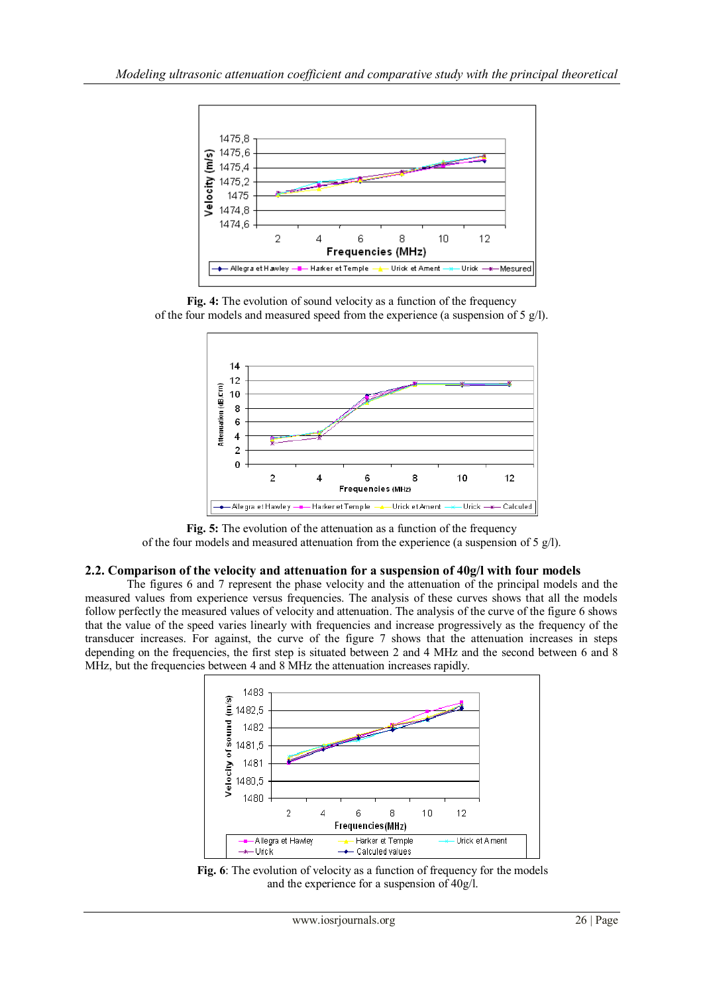

**Fig. 4:** The evolution of sound velocity as a function of the frequency of the four models and measured speed from the experience (a suspension of 5 g/l).



**Fig. 5:** The evolution of the attenuation as a function of the frequency of the four models and measured attenuation from the experience (a suspension of 5  $g/l$ ).

## **2.2. Comparison of the velocity and attenuation for a suspension of 40g/l with four models**

The figures 6 and 7 represent the phase velocity and the attenuation of the principal models and the measured values from experience versus frequencies. The analysis of these curves shows that all the models follow perfectly the measured values of velocity and attenuation. The analysis of the curve of the figure 6 shows that the value of the speed varies linearly with frequencies and increase progressively as the frequency of the transducer increases. For against, the curve of the figure 7 shows that the attenuation increases in steps depending on the frequencies, the first step is situated between 2 and 4 MHz and the second between 6 and 8 MHz, but the frequencies between 4 and 8 MHz the attenuation increases rapidly.



**Fig. 6**: The evolution of velocity as a function of frequency for the models and the experience for a suspension of 40g/l.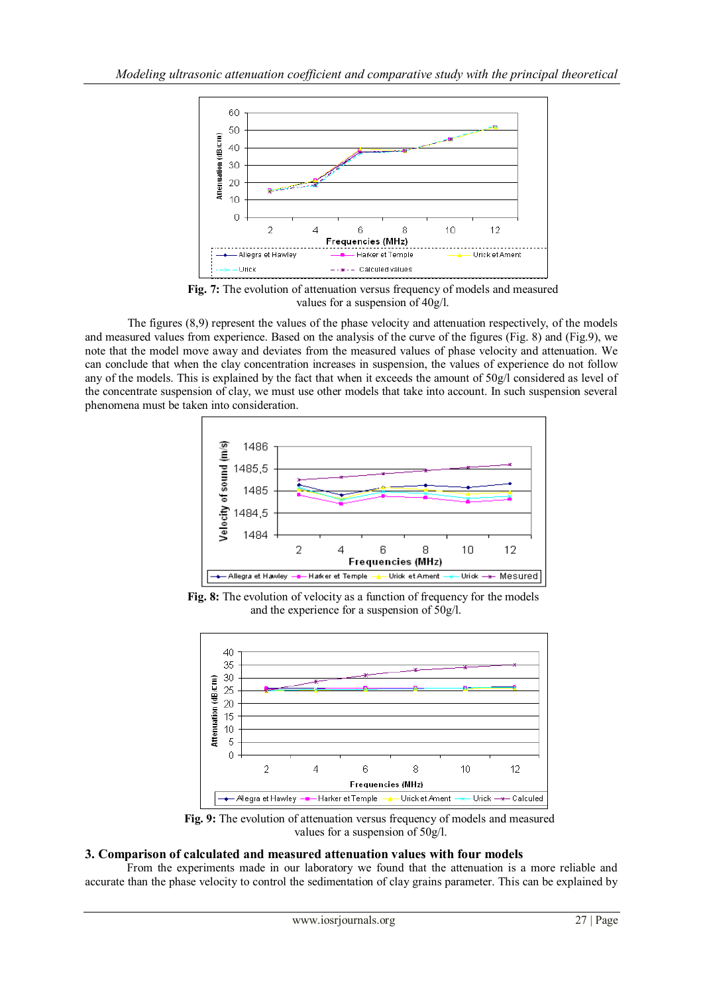

**Fig. 7:** The evolution of attenuation versus frequency of models and measured values for a suspension of 40g/l.

The figures (8,9) represent the values of the phase velocity and attenuation respectively, of the models and measured values from experience. Based on the analysis of the curve of the figures (Fig. 8) and (Fig.9), we note that the model move away and deviates from the measured values of phase velocity and attenuation. We can conclude that when the clay concentration increases in suspension, the values of experience do not follow any of the models. This is explained by the fact that when it exceeds the amount of 50g/l considered as level of the concentrate suspension of clay, we must use other models that take into account. In such suspension several phenomena must be taken into consideration.



 **Fig. 8:** The evolution of velocity as a function of frequency for the models and the experience for a suspension of 50g/l.



 **Fig. 9:** The evolution of attenuation versus frequency of models and measured values for a suspension of 50g/l.

## **3. Comparison of calculated and measured attenuation values with four models**

From the experiments made in our laboratory we found that the attenuation is a more reliable and accurate than the phase velocity to control the sedimentation of clay grains parameter. This can be explained by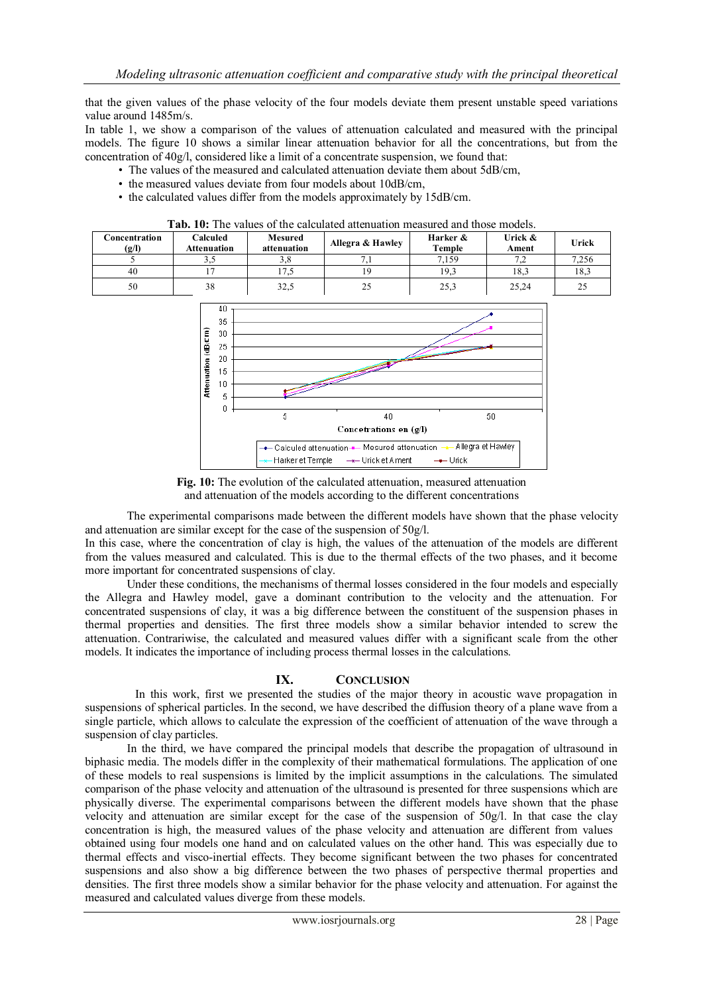that the given values of the phase velocity of the four models deviate them present unstable speed variations value around 1485m/s.

In table 1, we show a comparison of the values of attenuation calculated and measured with the principal models. The figure 10 shows a similar linear attenuation behavior for all the concentrations, but from the concentration of 40g/l, considered like a limit of a concentrate suspension, we found that:

- The values of the measured and calculated attenuation deviate them about 5dB/cm,
- the measured values deviate from four models about 10dB/cm,
- the calculated values differ from the models approximately by 15dB/cm.

| <b>Tab. 10:</b> The values of the calculated attenuation measured and those models. |                                       |                        |                  |                    |                  |       |
|-------------------------------------------------------------------------------------|---------------------------------------|------------------------|------------------|--------------------|------------------|-------|
| Concentration<br>(g/I)                                                              | <b>Calculed</b><br><b>Attenuation</b> | Mesured<br>attenuation | Allegra & Hawley | Harker &<br>Temple | Urick &<br>Ament | Urick |
|                                                                                     |                                       |                        |                  | 7.159              |                  | 7,256 |
| 40                                                                                  |                                       |                        |                  | 19.3               | 18.3             | 18.3  |
| 50                                                                                  | 38                                    | 32.5                   |                  | 25.                | 25.24            |       |





The experimental comparisons made between the different models have shown that the phase velocity and attenuation are similar except for the case of the suspension of 50g/l.

In this case, where the concentration of clay is high, the values of the attenuation of the models are different from the values measured and calculated. This is due to the thermal effects of the two phases, and it become more important for concentrated suspensions of clay.

Under these conditions, the mechanisms of thermal losses considered in the four models and especially the Allegra and Hawley model, gave a dominant contribution to the velocity and the attenuation. For concentrated suspensions of clay, it was a big difference between the constituent of the suspension phases in thermal properties and densities. The first three models show a similar behavior intended to screw the attenuation. Contrariwise, the calculated and measured values differ with a significant scale from the other models. It indicates the importance of including process thermal losses in the calculations.

## **IX. CONCLUSION**

In this work, first we presented the studies of the major theory in acoustic wave propagation in suspensions of spherical particles. In the second, we have described the diffusion theory of a plane wave from a single particle, which allows to calculate the expression of the coefficient of attenuation of the wave through a suspension of clay particles.

In the third, we have compared the principal models that describe the propagation of ultrasound in biphasic media. The models differ in the complexity of their mathematical formulations. The application of one of these models to real suspensions is limited by the implicit assumptions in the calculations. The simulated comparison of the phase velocity and attenuation of the ultrasound is presented for three suspensions which are physically diverse. The experimental comparisons between the different models have shown that the phase velocity and attenuation are similar except for the case of the suspension of 50g/l. In that case the clay concentration is high, the measured values of the phase velocity and attenuation are different from values obtained using four models one hand and on calculated values on the other hand. This was especially due to thermal effects and visco-inertial effects. They become significant between the two phases for concentrated suspensions and also show a big difference between the two phases of perspective thermal properties and densities. The first three models show a similar behavior for the phase velocity and attenuation. For against the measured and calculated values diverge from these models.